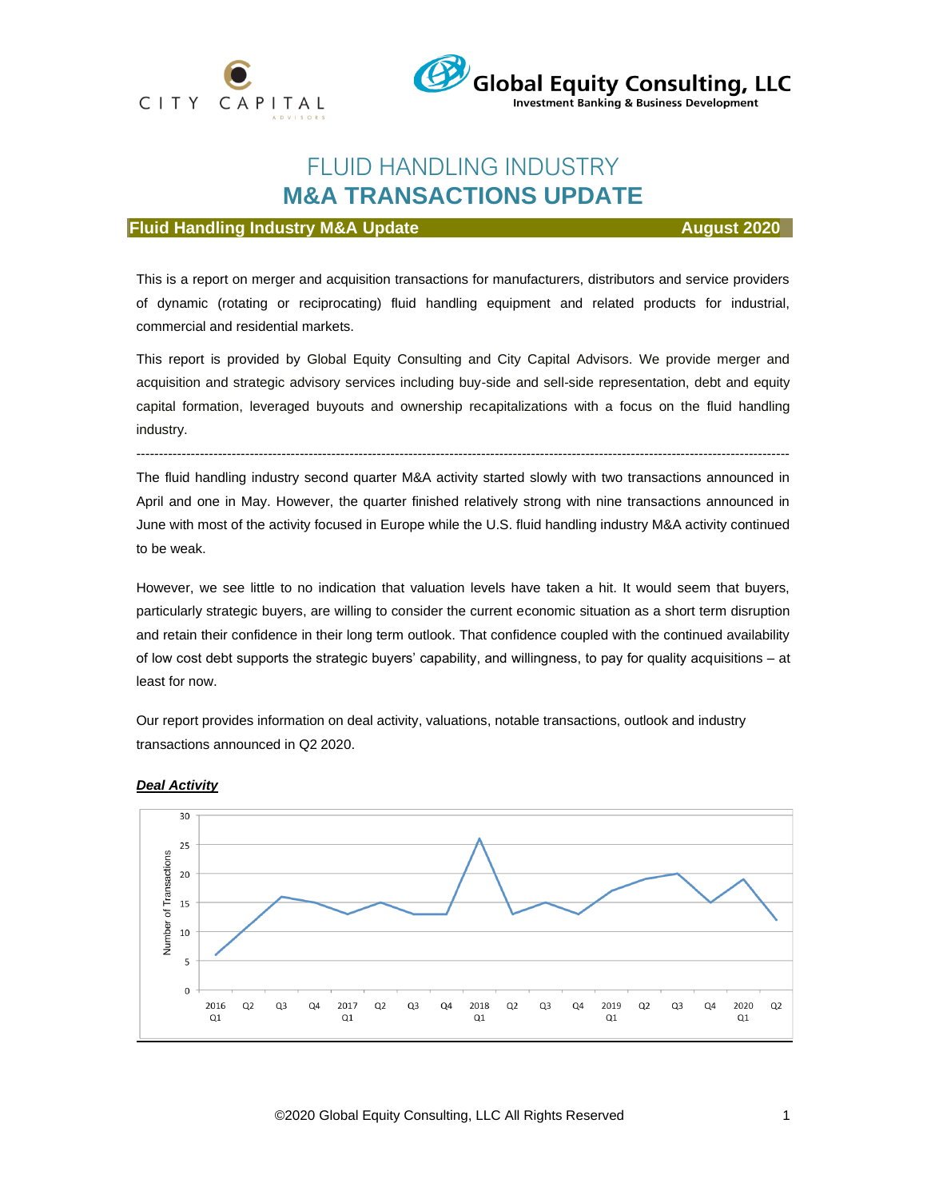



## FLUID HANDLING INDUSTRY **M&A TRANSACTIONS UPDATE**

#### **Fluid Handling Industry M&A Update August August 2020**

This is a report on merger and acquisition transactions for manufacturers, distributors and service providers of dynamic (rotating or reciprocating) fluid handling equipment and related products for industrial, commercial and residential markets.

This report is provided by Global Equity Consulting and City Capital Advisors. We provide merger and acquisition and strategic advisory services including buy-side and sell-side representation, debt and equity capital formation, leveraged buyouts and ownership recapitalizations with a focus on the fluid handling industry.

------------------------------------------------------------------------------------------------------------------------------------------------

The fluid handling industry second quarter M&A activity started slowly with two transactions announced in April and one in May. However, the quarter finished relatively strong with nine transactions announced in June with most of the activity focused in Europe while the U.S. fluid handling industry M&A activity continued to be weak.

However, we see little to no indication that valuation levels have taken a hit. It would seem that buyers, particularly strategic buyers, are willing to consider the current economic situation as a short term disruption and retain their confidence in their long term outlook. That confidence coupled with the continued availability of low cost debt supports the strategic buyers' capability, and willingness, to pay for quality acquisitions – at least for now.

Our report provides information on deal activity, valuations, notable transactions, outlook and industry transactions announced in Q2 2020.



#### *Deal Activity*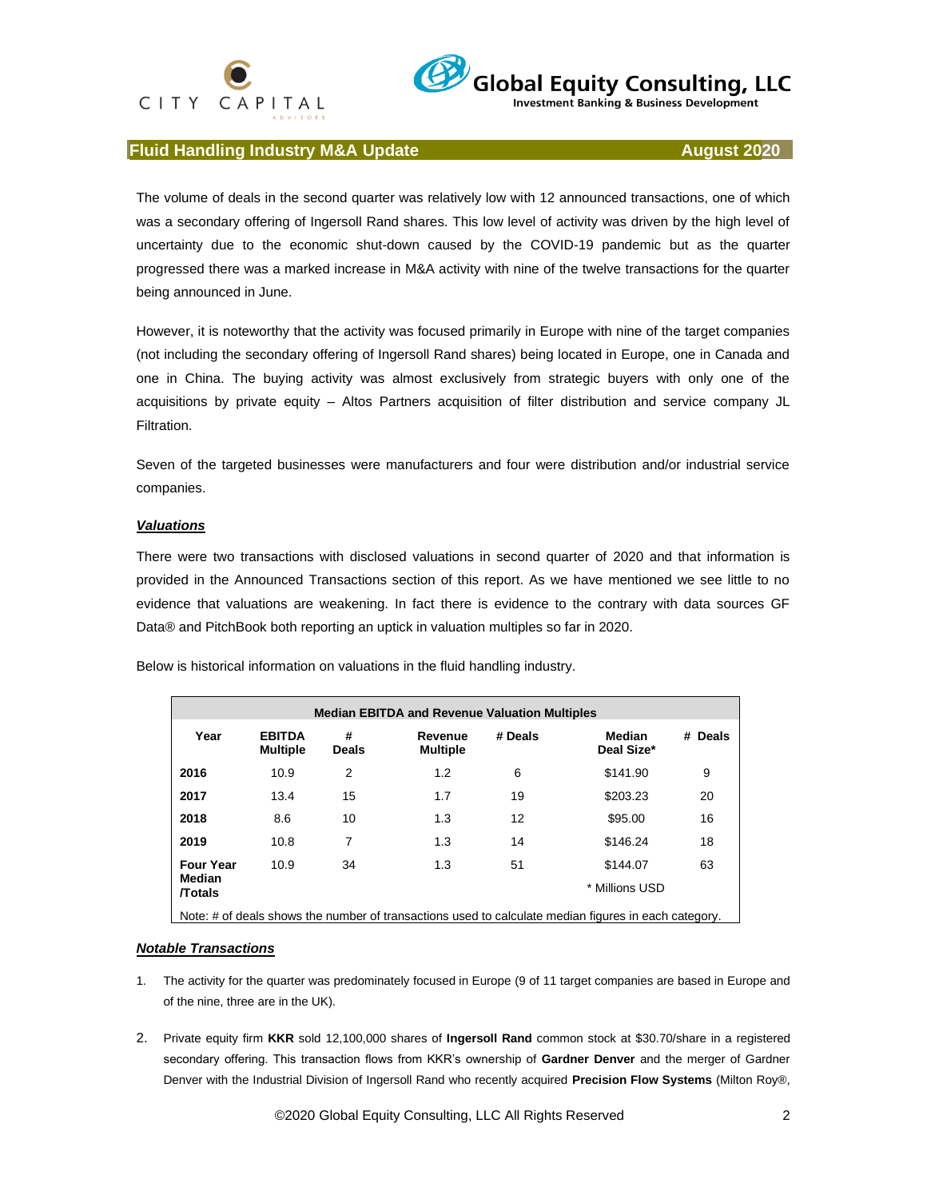## CITY CAPITAL



**Investment Banking & Business Development** 

### **Fluid Handling Industry M&A Update August 2020 August 2020**

The volume of deals in the second quarter was relatively low with 12 announced transactions, one of which was a secondary offering of Ingersoll Rand shares. This low level of activity was driven by the high level of uncertainty due to the economic shut-down caused by the COVID-19 pandemic but as the quarter progressed there was a marked increase in M&A activity with nine of the twelve transactions for the quarter being announced in June.

However, it is noteworthy that the activity was focused primarily in Europe with nine of the target companies (not including the secondary offering of Ingersoll Rand shares) being located in Europe, one in Canada and one in China. The buying activity was almost exclusively from strategic buyers with only one of the acquisitions by private equity – Altos Partners acquisition of filter distribution and service company JL Filtration.

Seven of the targeted businesses were manufacturers and four were distribution and/or industrial service companies.

#### *Valuations*

There were two transactions with disclosed valuations in second quarter of 2020 and that information is provided in the Announced Transactions section of this report. As we have mentioned we see little to no evidence that valuations are weakening. In fact there is evidence to the contrary with data sources GF Data® and PitchBook both reporting an uptick in valuation multiples so far in 2020.

| <b>Median EBITDA and Revenue Valuation Multiples</b>                                                 |                                  |                   |                            |         |                      |         |  |  |  |
|------------------------------------------------------------------------------------------------------|----------------------------------|-------------------|----------------------------|---------|----------------------|---------|--|--|--|
| Year                                                                                                 | <b>EBITDA</b><br><b>Multiple</b> | #<br><b>Deals</b> | Revenue<br><b>Multiple</b> | # Deals | Median<br>Deal Size* | # Deals |  |  |  |
| 2016                                                                                                 | 10.9                             | $\overline{2}$    | 1.2                        | 6       | \$141.90             | 9       |  |  |  |
| 2017                                                                                                 | 13.4                             | 15                | 1.7                        | 19      | \$203.23             | 20      |  |  |  |
| 2018                                                                                                 | 8.6                              | 10                | 1.3                        | 12      | \$95.00              | 16      |  |  |  |
| 2019                                                                                                 | 10.8                             | 7                 | 1.3                        | 14      | \$146.24             | 18      |  |  |  |
| <b>Four Year</b>                                                                                     | 10.9                             | 34                | 1.3                        | 51      | \$144.07             | 63      |  |  |  |
| Median<br><b>Totals</b>                                                                              |                                  |                   |                            |         | * Millions USD       |         |  |  |  |
| Note: # of deals shows the number of transactions used to calculate median figures in each category. |                                  |                   |                            |         |                      |         |  |  |  |

Below is historical information on valuations in the fluid handling industry.

#### *Notable Transactions*

- 1. The activity for the quarter was predominately focused in Europe (9 of 11 target companies are based in Europe and of the nine, three are in the UK).
- 2. Private equity firm **KKR** sold 12,100,000 shares of **Ingersoll Rand** common stock at \$30.70/share in a registered secondary offering. This transaction flows from KKR's ownership of **Gardner Denver** and the merger of Gardner Denver with the Industrial Division of Ingersoll Rand who recently acquired **Precision Flow Systems** (Milton Roy®,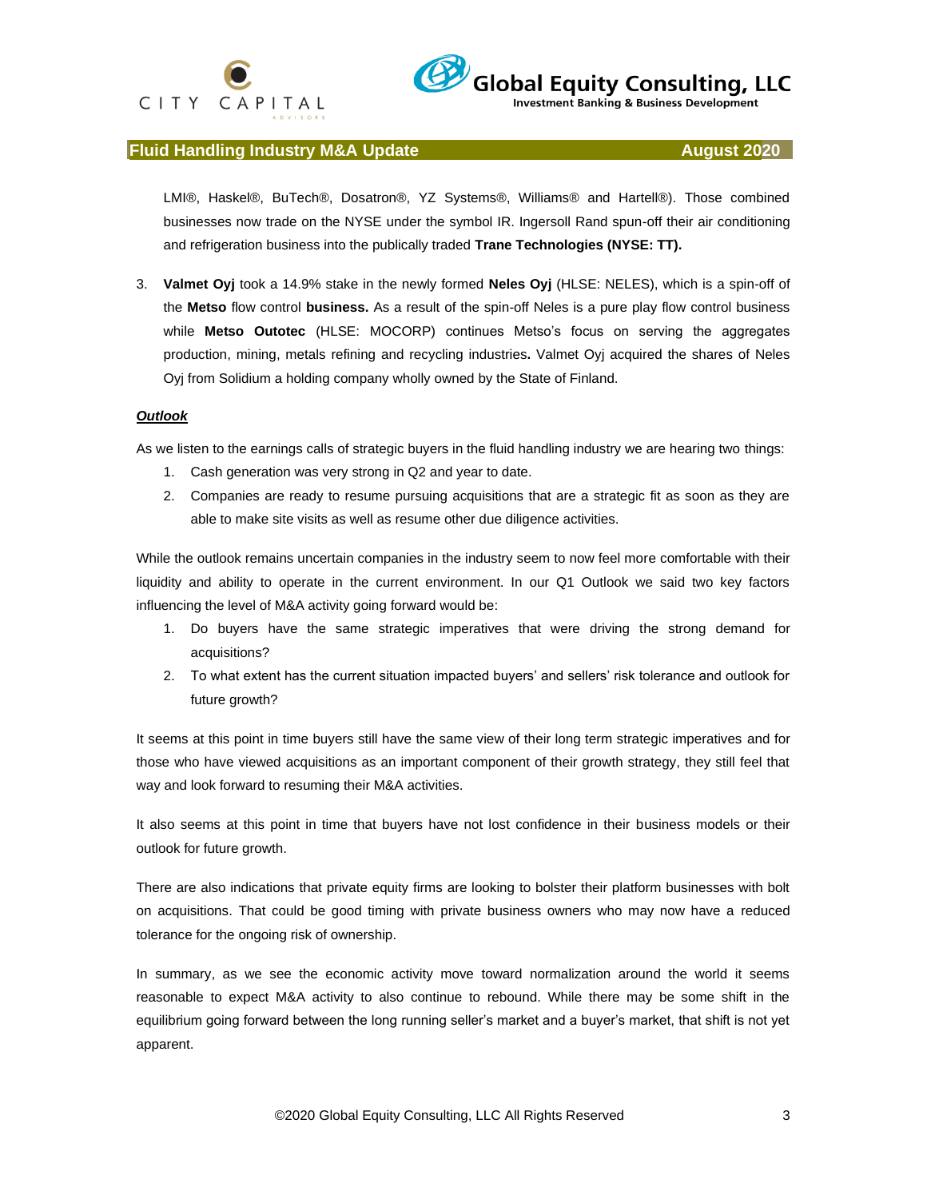



**Investment Banking & Business Development** 

#### **Fluid Handling Industry M&A Update August 2020 August 2020**

LMI®, Haskel®, BuTech®, Dosatron®, YZ Systems®, Williams® and Hartell®). Those combined businesses now trade on the NYSE under the symbol IR. Ingersoll Rand spun-off their air conditioning and refrigeration business into the publically traded **Trane Technologies (NYSE: TT).**

3. **Valmet Oyj** took a 14.9% stake in the newly formed **Neles Oyj** (HLSE: NELES), which is a spin-off of the **Metso** flow control **business.** As a result of the spin-off Neles is a pure play flow control business while **Metso Outotec** (HLSE: MOCORP) continues Metso's focus on serving the aggregates production, mining, metals refining and recycling industries**.** Valmet Oyj acquired the shares of Neles Oyj from Solidium a holding company wholly owned by the State of Finland.

#### *Outlook*

As we listen to the earnings calls of strategic buyers in the fluid handling industry we are hearing two things:

- 1. Cash generation was very strong in Q2 and year to date.
- 2. Companies are ready to resume pursuing acquisitions that are a strategic fit as soon as they are able to make site visits as well as resume other due diligence activities.

While the outlook remains uncertain companies in the industry seem to now feel more comfortable with their liquidity and ability to operate in the current environment. In our Q1 Outlook we said two key factors influencing the level of M&A activity going forward would be:

- 1. Do buyers have the same strategic imperatives that were driving the strong demand for acquisitions?
- 2. To what extent has the current situation impacted buyers' and sellers' risk tolerance and outlook for future growth?

It seems at this point in time buyers still have the same view of their long term strategic imperatives and for those who have viewed acquisitions as an important component of their growth strategy, they still feel that way and look forward to resuming their M&A activities.

It also seems at this point in time that buyers have not lost confidence in their business models or their outlook for future growth.

There are also indications that private equity firms are looking to bolster their platform businesses with bolt on acquisitions. That could be good timing with private business owners who may now have a reduced tolerance for the ongoing risk of ownership.

In summary, as we see the economic activity move toward normalization around the world it seems reasonable to expect M&A activity to also continue to rebound. While there may be some shift in the equilibrium going forward between the long running seller's market and a buyer's market, that shift is not yet apparent.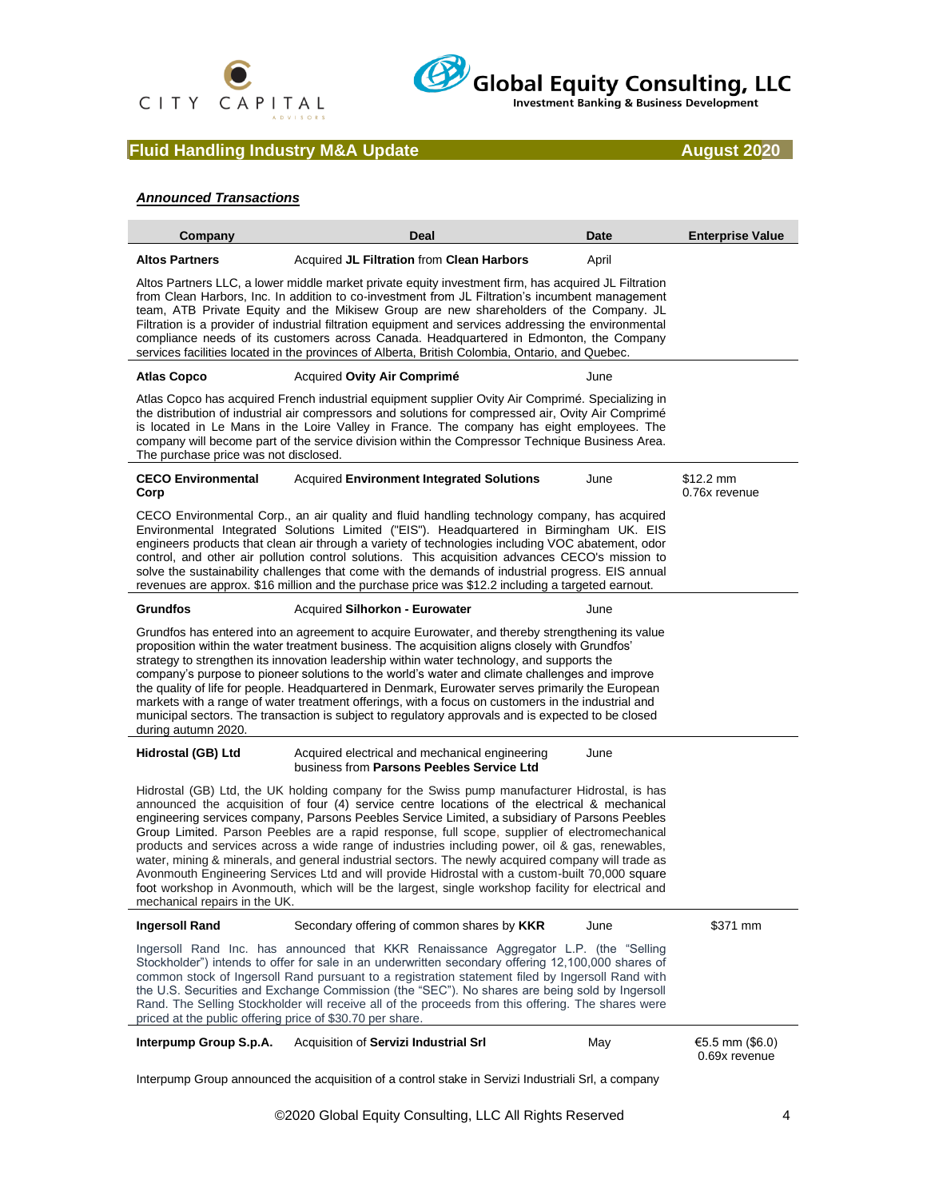



## **Fluid Handling Industry M&A Update August 2020**

#### *Announced Transactions*

| Company                                                   | Deal                                                                                                                                                                                                                                                                                                                                                                                                                                                                                                                                                                                                                                                                                                                                                                                                               | Date  | <b>Enterprise Value</b>            |
|-----------------------------------------------------------|--------------------------------------------------------------------------------------------------------------------------------------------------------------------------------------------------------------------------------------------------------------------------------------------------------------------------------------------------------------------------------------------------------------------------------------------------------------------------------------------------------------------------------------------------------------------------------------------------------------------------------------------------------------------------------------------------------------------------------------------------------------------------------------------------------------------|-------|------------------------------------|
| <b>Altos Partners</b>                                     | Acquired JL Filtration from Clean Harbors                                                                                                                                                                                                                                                                                                                                                                                                                                                                                                                                                                                                                                                                                                                                                                          | April |                                    |
|                                                           | Altos Partners LLC, a lower middle market private equity investment firm, has acquired JL Filtration<br>from Clean Harbors, Inc. In addition to co-investment from JL Filtration's incumbent management<br>team, ATB Private Equity and the Mikisew Group are new shareholders of the Company. JL<br>Filtration is a provider of industrial filtration equipment and services addressing the environmental<br>compliance needs of its customers across Canada. Headquartered in Edmonton, the Company<br>services facilities located in the provinces of Alberta, British Colombia, Ontario, and Quebec.                                                                                                                                                                                                           |       |                                    |
| <b>Atlas Copco</b>                                        | Acquired Ovity Air Comprimé                                                                                                                                                                                                                                                                                                                                                                                                                                                                                                                                                                                                                                                                                                                                                                                        | June  |                                    |
| The purchase price was not disclosed.                     | Atlas Copco has acquired French industrial equipment supplier Ovity Air Comprimé. Specializing in<br>the distribution of industrial air compressors and solutions for compressed air, Ovity Air Comprimé<br>is located in Le Mans in the Loire Valley in France. The company has eight employees. The<br>company will become part of the service division within the Compressor Technique Business Area.                                                                                                                                                                                                                                                                                                                                                                                                           |       |                                    |
| <b>CECO Environmental</b><br>Corp                         | <b>Acquired Environment Integrated Solutions</b>                                                                                                                                                                                                                                                                                                                                                                                                                                                                                                                                                                                                                                                                                                                                                                   | June  | \$12.2 mm<br>0.76x revenue         |
|                                                           | CECO Environmental Corp., an air quality and fluid handling technology company, has acquired<br>Environmental Integrated Solutions Limited ("EIS"). Headquartered in Birmingham UK. EIS<br>engineers products that clean air through a variety of technologies including VOC abatement, odor<br>control, and other air pollution control solutions. This acquisition advances CECO's mission to<br>solve the sustainability challenges that come with the demands of industrial progress. EIS annual<br>revenues are approx. \$16 million and the purchase price was \$12.2 including a targeted earnout.                                                                                                                                                                                                          |       |                                    |
| <b>Grundfos</b>                                           | <b>Acquired Silhorkon - Eurowater</b>                                                                                                                                                                                                                                                                                                                                                                                                                                                                                                                                                                                                                                                                                                                                                                              | June  |                                    |
| during autumn 2020.                                       | Grundfos has entered into an agreement to acquire Eurowater, and thereby strengthening its value<br>proposition within the water treatment business. The acquisition aligns closely with Grundfos'<br>strategy to strengthen its innovation leadership within water technology, and supports the<br>company's purpose to pioneer solutions to the world's water and climate challenges and improve<br>the quality of life for people. Headquartered in Denmark, Eurowater serves primarily the European<br>markets with a range of water treatment offerings, with a focus on customers in the industrial and<br>municipal sectors. The transaction is subject to regulatory approvals and is expected to be closed                                                                                                |       |                                    |
| Hidrostal (GB) Ltd                                        | Acquired electrical and mechanical engineering<br>business from Parsons Peebles Service Ltd                                                                                                                                                                                                                                                                                                                                                                                                                                                                                                                                                                                                                                                                                                                        | June  |                                    |
| mechanical repairs in the UK.                             | Hidrostal (GB) Ltd, the UK holding company for the Swiss pump manufacturer Hidrostal, is has<br>announced the acquisition of four (4) service centre locations of the electrical & mechanical<br>engineering services company, Parsons Peebles Service Limited, a subsidiary of Parsons Peebles<br>Group Limited. Parson Peebles are a rapid response, full scope, supplier of electromechanical<br>products and services across a wide range of industries including power, oil & gas, renewables,<br>water, mining & minerals, and general industrial sectors. The newly acquired company will trade as<br>Avonmouth Engineering Services Ltd and will provide Hidrostal with a custom-built 70,000 square<br>foot workshop in Avonmouth, which will be the largest, single workshop facility for electrical and |       |                                    |
| <b>Ingersoll Rand</b>                                     | Secondary offering of common shares by KKR                                                                                                                                                                                                                                                                                                                                                                                                                                                                                                                                                                                                                                                                                                                                                                         | June  | \$371 mm                           |
| priced at the public offering price of \$30.70 per share. | Ingersoll Rand Inc. has announced that KKR Renaissance Aggregator L.P. (the "Selling<br>Stockholder") intends to offer for sale in an underwritten secondary offering 12,100,000 shares of<br>common stock of Ingersoll Rand pursuant to a registration statement filed by Ingersoll Rand with<br>the U.S. Securities and Exchange Commission (the "SEC"). No shares are being sold by Ingersoll<br>Rand. The Selling Stockholder will receive all of the proceeds from this offering. The shares were                                                                                                                                                                                                                                                                                                             |       |                                    |
| Interpump Group S.p.A.                                    | Acquisition of Servizi Industrial Srl                                                                                                                                                                                                                                                                                                                                                                                                                                                                                                                                                                                                                                                                                                                                                                              | May   | €5.5 mm $(\$6.0)$<br>0.69x revenue |

Interpump Group announced the acquisition of a control stake in Servizi Industriali Srl, a company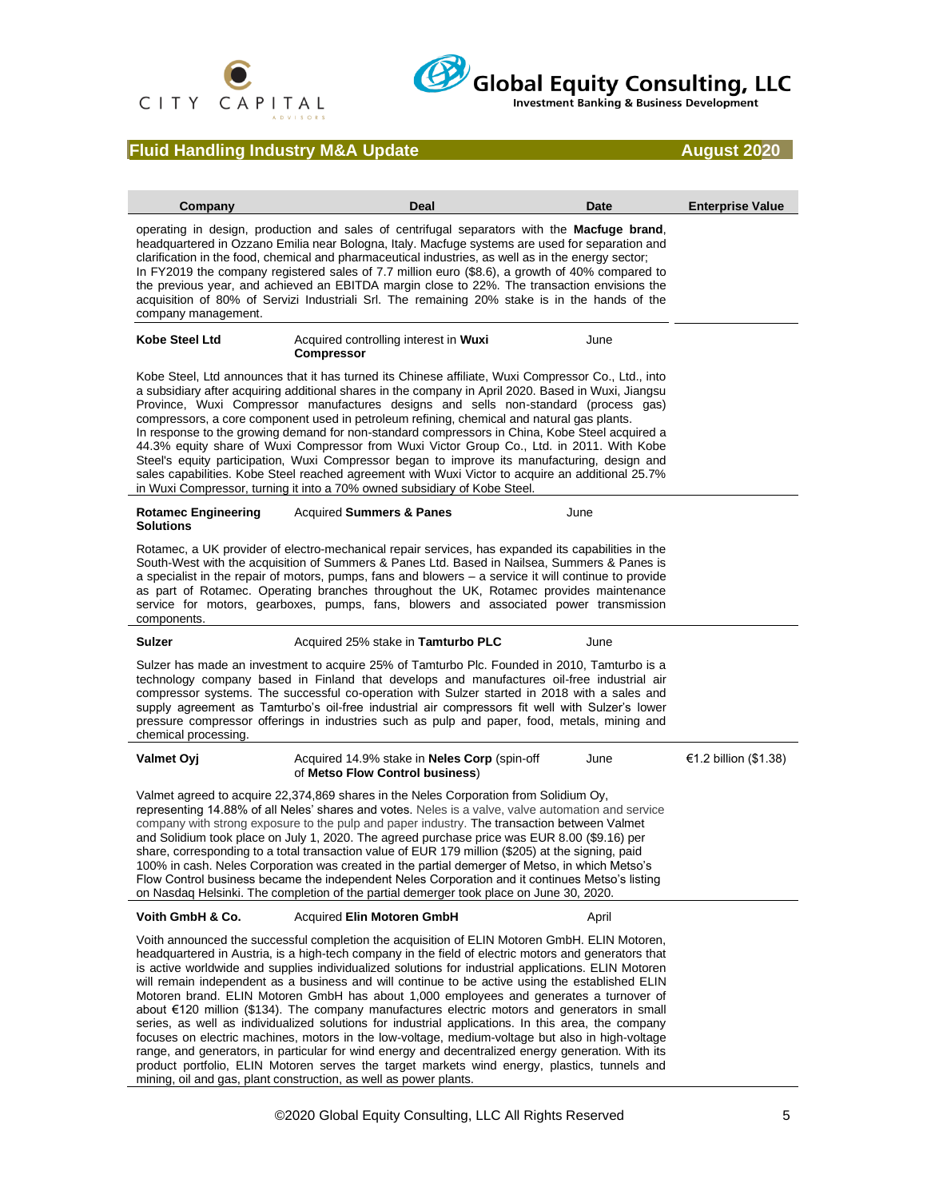

# Global Equity Consulting, LLC

## **Fluid Handling Industry M&A Update August 2020**

| Company                                        | Deal                                                                                                                                                                                                                                                                                                                                                                                                                                                                                                                                                                                                                                                                                                                                                                                                                                                                                                                                                                                                                                                                                           | Date  | <b>Enterprise Value</b> |
|------------------------------------------------|------------------------------------------------------------------------------------------------------------------------------------------------------------------------------------------------------------------------------------------------------------------------------------------------------------------------------------------------------------------------------------------------------------------------------------------------------------------------------------------------------------------------------------------------------------------------------------------------------------------------------------------------------------------------------------------------------------------------------------------------------------------------------------------------------------------------------------------------------------------------------------------------------------------------------------------------------------------------------------------------------------------------------------------------------------------------------------------------|-------|-------------------------|
| company management.                            | operating in design, production and sales of centrifugal separators with the <b>Macfuge brand</b> ,<br>headquartered in Ozzano Emilia near Bologna, Italy. Macfuge systems are used for separation and<br>clarification in the food, chemical and pharmaceutical industries, as well as in the energy sector;<br>In FY2019 the company registered sales of 7.7 million euro (\$8.6), a growth of 40% compared to<br>the previous year, and achieved an EBITDA margin close to 22%. The transaction envisions the<br>acquisition of 80% of Servizi Industriali Srl. The remaining 20% stake is in the hands of the                                                                                                                                                                                                                                                                                                                                                                                                                                                                              |       |                         |
| Kobe Steel Ltd                                 | Acquired controlling interest in Wuxi<br>Compressor                                                                                                                                                                                                                                                                                                                                                                                                                                                                                                                                                                                                                                                                                                                                                                                                                                                                                                                                                                                                                                            | June  |                         |
|                                                | Kobe Steel, Ltd announces that it has turned its Chinese affiliate, Wuxi Compressor Co., Ltd., into<br>a subsidiary after acquiring additional shares in the company in April 2020. Based in Wuxi, Jiangsu<br>Province, Wuxi Compressor manufactures designs and sells non-standard (process gas)<br>compressors, a core component used in petroleum refining, chemical and natural gas plants.<br>In response to the growing demand for non-standard compressors in China, Kobe Steel acquired a<br>44.3% equity share of Wuxi Compressor from Wuxi Victor Group Co., Ltd. in 2011. With Kobe<br>Steel's equity participation, Wuxi Compressor began to improve its manufacturing, design and<br>sales capabilities. Kobe Steel reached agreement with Wuxi Victor to acquire an additional 25.7%<br>in Wuxi Compressor, turning it into a 70% owned subsidiary of Kobe Steel.                                                                                                                                                                                                                |       |                         |
| <b>Rotamec Engineering</b><br><b>Solutions</b> | <b>Acquired Summers &amp; Panes</b>                                                                                                                                                                                                                                                                                                                                                                                                                                                                                                                                                                                                                                                                                                                                                                                                                                                                                                                                                                                                                                                            | June  |                         |
| components.                                    | Rotamec, a UK provider of electro-mechanical repair services, has expanded its capabilities in the<br>South-West with the acquisition of Summers & Panes Ltd. Based in Nailsea, Summers & Panes is<br>a specialist in the repair of motors, pumps, fans and blowers $-$ a service it will continue to provide<br>as part of Rotamec. Operating branches throughout the UK, Rotamec provides maintenance<br>service for motors, gearboxes, pumps, fans, blowers and associated power transmission                                                                                                                                                                                                                                                                                                                                                                                                                                                                                                                                                                                               |       |                         |
| Sulzer                                         | Acquired 25% stake in Tamturbo PLC                                                                                                                                                                                                                                                                                                                                                                                                                                                                                                                                                                                                                                                                                                                                                                                                                                                                                                                                                                                                                                                             | June  |                         |
| chemical processing.                           | Sulzer has made an investment to acquire 25% of Tamturbo Plc. Founded in 2010, Tamturbo is a<br>technology company based in Finland that develops and manufactures oil-free industrial air<br>compressor systems. The successful co-operation with Sulzer started in 2018 with a sales and<br>supply agreement as Tamturbo's oil-free industrial air compressors fit well with Sulzer's lower<br>pressure compressor offerings in industries such as pulp and paper, food, metals, mining and                                                                                                                                                                                                                                                                                                                                                                                                                                                                                                                                                                                                  |       |                         |
| <b>Valmet Oyj</b>                              | Acquired 14.9% stake in <b>Neles Corp</b> (spin-off<br>of Metso Flow Control business)                                                                                                                                                                                                                                                                                                                                                                                                                                                                                                                                                                                                                                                                                                                                                                                                                                                                                                                                                                                                         | June  | €1.2 billion (\$1.38)   |
|                                                | Valmet agreed to acquire 22,374,869 shares in the Neles Corporation from Solidium Oy.<br>representing 14.88% of all Neles' shares and votes. Neles is a valve, valve automation and service<br>company with strong exposure to the pulp and paper industry. The transaction between Valmet<br>and Solidium took place on July 1, 2020. The agreed purchase price was EUR 8.00 (\$9.16) per<br>share, corresponding to a total transaction value of EUR 179 million (\$205) at the signing, paid<br>100% in cash. Neles Corporation was created in the partial demerger of Metso, in which Metso's<br>Flow Control business became the independent Neles Corporation and it continues Metso's listing<br>on Nasdaq Helsinki. The completion of the partial demerger took place on June 30, 2020.                                                                                                                                                                                                                                                                                                |       |                         |
| Voith GmbH & Co.                               | Acquired Elin Motoren GmbH                                                                                                                                                                                                                                                                                                                                                                                                                                                                                                                                                                                                                                                                                                                                                                                                                                                                                                                                                                                                                                                                     | April |                         |
|                                                | Voith announced the successful completion the acquisition of ELIN Motoren GmbH. ELIN Motoren,<br>headquartered in Austria, is a high-tech company in the field of electric motors and generators that<br>is active worldwide and supplies individualized solutions for industrial applications. ELIN Motoren<br>will remain independent as a business and will continue to be active using the established ELIN<br>Motoren brand. ELIN Motoren GmbH has about 1,000 employees and generates a turnover of<br>about €120 million (\$134). The company manufactures electric motors and generators in small<br>series, as well as individualized solutions for industrial applications. In this area, the company<br>focuses on electric machines, motors in the low-voltage, medium-voltage but also in high-voltage<br>range, and generators, in particular for wind energy and decentralized energy generation. With its<br>product portfolio, ELIN Motoren serves the target markets wind energy, plastics, tunnels and<br>mining, oil and gas, plant construction, as well as power plants. |       |                         |